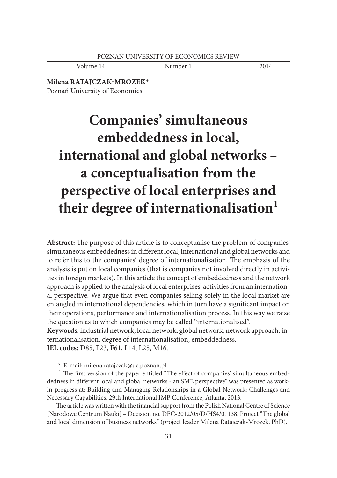Volume 14 Number 1 2014

**Milena RATAJCZAK-MROZEK\*** Poznań University of Economics

# **Companies' simultaneous embeddedness in local, international and global networks – a conceptualisation from the perspective of local enterprises and their degree of internationalisation<sup>1</sup>**

**Abstract:** The purpose of this article is to conceptualise the problem of companies' simultaneous embeddedness in different local, international and global networks and to refer this to the companies' degree of internationalisation. The emphasis of the analysis is put on local companies (that is companies not involved directly in activities in foreign markets). In this article the concept of embeddedness and the network approach is applied to the analysis of local enterprises' activities from an international perspective. We argue that even companies selling solely in the local market are entangled in international dependencies, which in turn have a significant impact on their operations, performance and internationalisation process. In this way we raise the question as to which companies may be called "internationalised".

**Keywords**: industrial network, local network, global network, network approach, internationalisation, degree of internationalisation, embeddedness. **JEL codes:** D85, F23, F61, L14, L25, M16.

The article was written with the financial support from the Polish National Centre of Science [Narodowe Centrum Nauki] - Decision no. DEC-2012/05/D/HS4/01138. Project "The global and local dimension of business networks" (project leader Milena Ratajczak-Mrozek, PhD).

 <sup>\*</sup> E-mail: milena.ratajczak@ue.poznan.pl.

 $1$  The first version of the paper entitled "The effect of companies' simultaneous embeddedness in different local and global networks - an SME perspective" was presented as workin-progress at: Building and Managing Relationships in a Global Network: Challenges and Necessary Capabilities, 29th International IMP Conference, Atlanta, 2013.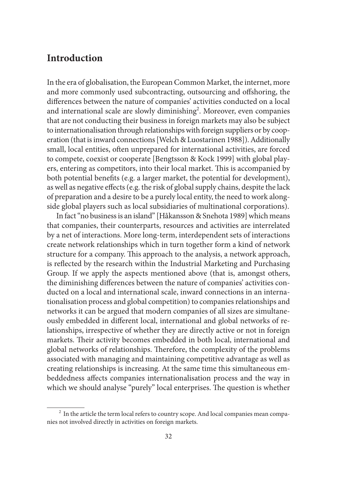## **Introduction**

In the era of globalisation, the European Common Market, the internet, more and more commonly used subcontracting, outsourcing and offshoring, the differences between the nature of companies' activities conducted on a local and international scale are slowly diminishing<sup>2</sup>. Moreover, even companies that are not conducting their business in foreign markets may also be subject to internationalisation through relationships with foreign suppliers or by cooperation (that is inward connections [Welch & Luostarinen 1988]). Additionally small, local entities, often unprepared for international activities, are forced to compete, coexist or cooperate [Bengtsson & Kock 1999] with global players, entering as competitors, into their local market. This is accompanied by both potential benefits (e.g. a larger market, the potential for development), as well as negative effects (e.g. the risk of global supply chains, despite the lack of preparation and a desire to be a purely local entity, the need to work alongside global players such as local subsidiaries of multinational corporations).

In fact "no business is an island" [Håkansson & Snehota 1989] which means that companies, their counterparts, resources and activities are interrelated by a net of interactions. More long-term, interdependent sets of interactions create network relationships which in turn together form a kind of network structure for a company. This approach to the analysis, a network approach, is reflected by the research within the Industrial Marketing and Purchasing Group. If we apply the aspects mentioned above (that is, amongst others, the diminishing differences between the nature of companies' activities conducted on a local and international scale, inward connections in an internationalisation process and global competition) to companies relationships and networks it can be argued that modern companies of all sizes are simultaneously embedded in different local, international and global networks of relationships, irrespective of whether they are directly active or not in foreign markets. Their activity becomes embedded in both local, international and global networks of relationships. Therefore, the complexity of the problems associated with managing and maintaining competitive advantage as well as creating relationships is increasing. At the same time this simultaneous embeddedness affects companies internationalisation process and the way in which we should analyse "purely" local enterprises. The question is whether

<sup>&</sup>lt;sup>2</sup> In the article the term local refers to country scope. And local companies mean companies not involved directly in activities on foreign markets.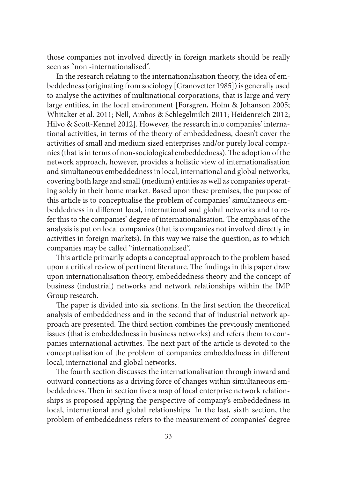those companies not involved directly in foreign markets should be really seen as "non -internationalised".

In the research relating to the internationalisation theory, the idea of embeddedness (originating from sociology [Granovetter 1985]) is generally used to analyse the activities of multinational corporations, that is large and very large entities, in the local environment [Forsgren, Holm & Johanson 2005; Whitaker et al. 2011; Nell, Ambos & Schlegelmilch 2011; Heidenreich 2012; Hilvo & Scott-Kennel 2012]. However, the research into companies' international activities, in terms of the theory of embeddedness, doesn't cover the activities of small and medium sized enterprises and/or purely local companies (that is in terms of non-sociological embeddedness). The adoption of the network approach, however, provides a holistic view of internationalisation and simultaneous embeddedness in local, international and global networks, covering both large and small (medium) entities as well as companies operating solely in their home market. Based upon these premises, the purpose of this article is to conceptualise the problem of companies' simultaneous embeddedness in different local, international and global networks and to refer this to the companies' degree of internationalisation. The emphasis of the analysis is put on local companies (that is companies not involved directly in activities in foreign markets). In this way we raise the question, as to which companies may be called "internationalised".

This article primarily adopts a conceptual approach to the problem based upon a critical review of pertinent literature. The findings in this paper draw upon internationalisation theory, embeddedness theory and the concept of business (industrial) networks and network relationships within the IMP Group research.

The paper is divided into six sections. In the first section the theoretical analysis of embeddedness and in the second that of industrial network approach are presented. The third section combines the previously mentioned issues (that is embeddedness in business networks) and refers them to companies international activities. The next part of the article is devoted to the conceptualisation of the problem of companies embeddedness in different local, international and global networks.

The fourth section discusses the internationalisation through inward and outward connections as a driving force of changes within simultaneous embeddedness. Then in section five a map of local enterprise network relationships is proposed applying the perspective of company's embeddedness in local, international and global relationships. In the last, sixth section, the problem of embeddedness refers to the measurement of companies' degree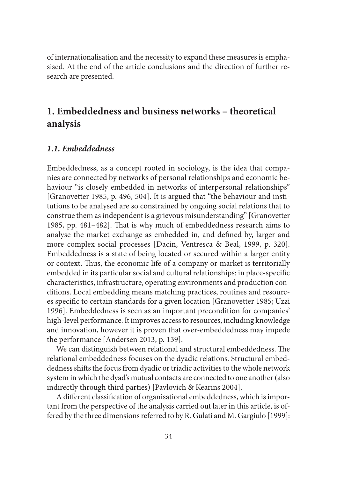of internationalisation and the necessity to expand these measures is emphasised. At the end of the article conclusions and the direction of further research are presented.

# **1. Embeddedness and business networks – theoretical analysis**

#### *1.1. Embeddedness*

Embeddedness, as a concept rooted in sociology, is the idea that companies are connected by networks of personal relationships and economic behaviour "is closely embedded in networks of interpersonal relationships" [Granovetter 1985, p. 496, 504]. It is argued that "the behaviour and institutions to be analysed are so constrained by ongoing social relations that to construe them as independent is a grievous misunderstanding" [Granovetter 1985, pp. 481–482]. That is why much of embeddedness research aims to analyse the market exchange as embedded in, and defined by, larger and more complex social processes [Dacin, Ventresca & Beal, 1999, p. 320]. Embeddedness is a state of being located or secured within a larger entity or context. Thus, the economic life of a company or market is territorially embedded in its particular social and cultural relationships: in place-specific characteristics, infrastructure, operating environments and production conditions. Local embedding means matching practices, routines and resources specific to certain standards for a given location [Granovetter 1985; Uzzi 1996]. Embeddedness is seen as an important precondition for companies' high-level performance. It improves access to resources, including knowledge and innovation, however it is proven that over-embeddedness may impede the performance [Andersen 2013, p. 139].

We can distinguish between relational and structural embeddedness. The relational embeddedness focuses on the dyadic relations. Structural embeddedness shifts the focus from dyadic or triadic activities to the whole network system in which the dyad's mutual contacts are connected to one another (also indirectly through third parties) [Pavlovich & Kearins 2004].

A different classification of organisational embeddedness, which is important from the perspective of the analysis carried out later in this article, is offered by the three dimensions referred to by R. Gulati and M. Gargiulo [1999]: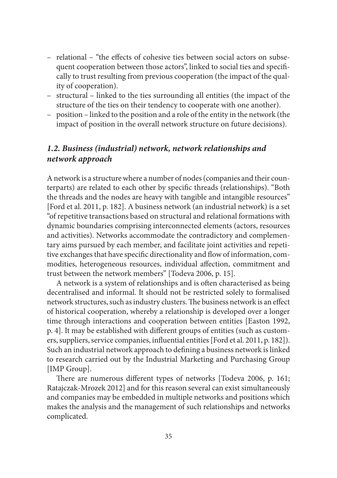- relational "the effects of cohesive ties between social actors on subsequent cooperation between those actors", linked to social ties and specifically to trust resulting from previous cooperation (the impact of the quality of cooperation).
- structural linked to the ties surrounding all entities (the impact of the structure of the ties on their tendency to cooperate with one another).
- position linked to the position and a role of the entity in the network (the impact of position in the overall network structure on future decisions).

### *1.2. Business (industrial) network, network relationships and network approach*

A network is a structure where a number of nodes (companies and their counterparts) are related to each other by specific threads (relationships). "Both the threads and the nodes are heavy with tangible and intangible resources" [Ford et al. 2011, p. 182]. A business network (an industrial network) is a set "of repetitive transactions based on structural and relational formations with dynamic boundaries comprising interconnected elements (actors, resources and activities). Networks accommodate the contradictory and complementary aims pursued by each member, and facilitate joint activities and repetitive exchanges that have specific directionality and flow of information, commodities, heterogeneous resources, individual affection, commitment and trust between the network members" [Todeva 2006, p. 15].

A network is a system of relationships and is often characterised as being decentralised and informal. It should not be restricted solely to formalised network structures, such as industry clusters. The business network is an effect of historical cooperation, whereby a relationship is developed over a longer time through interactions and cooperation between entities [Easton 1992, p. 4]. It may be established with different groups of entities (such as customers, suppliers, service companies, influential entities [Ford et al. 2011, p. 182]). Such an industrial network approach to defining a business network is linked to research carried out by the Industrial Marketing and Purchasing Group [IMP Group].

There are numerous different types of networks [Todeva 2006, p. 161; Ratajczak-Mrozek 2012] and for this reason several can exist simultaneously and companies may be embedded in multiple networks and positions which makes the analysis and the management of such relationships and networks complicated.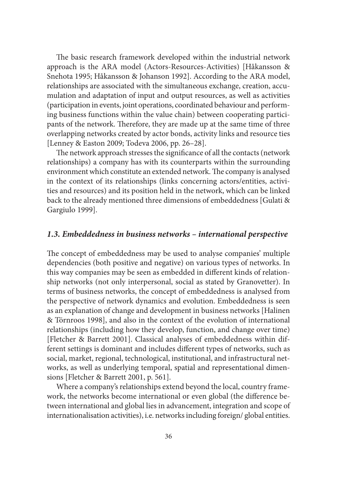The basic research framework developed within the industrial network approach is the ARA model (Actors-Resources-Activities) [Håkansson & Snehota 1995; Håkansson & Johanson 1992]. According to the ARA model, relationships are associated with the simultaneous exchange, creation, accumulation and adaptation of input and output resources, as well as activities (participation in events, joint operations, coordinated behaviour and performing business functions within the value chain) between cooperating participants of the network. Therefore, they are made up at the same time of three overlapping networks created by actor bonds, activity links and resource ties [Lenney & Easton 2009; Todeva 2006, pp. 26–28].

The network approach stresses the significance of all the contacts (network relationships) a company has with its counterparts within the surrounding environment which constitute an extended network. The company is analysed in the context of its relationships (links concerning actors/entities, activities and resources) and its position held in the network, which can be linked back to the already mentioned three dimensions of embeddedness [Gulati & Gargiulo 1999].

#### *1.3. Embeddedness in business networks – international perspective*

The concept of embeddedness may be used to analyse companies' multiple dependencies (both positive and negative) on various types of networks. In this way companies may be seen as embedded in different kinds of relationship networks (not only interpersonal, social as stated by Granovetter). In terms of business networks, the concept of embeddedness is analysed from the perspective of network dynamics and evolution. Embeddedness is seen as an explanation of change and development in business networks [Halinen & Törnroos 1998], and also in the context of the evolution of international relationships (including how they develop, function, and change over time) [Fletcher & Barrett 2001]. Classical analyses of embeddedness within different settings is dominant and includes different types of networks, such as social, market, regional, technological, institutional, and infrastructural networks, as well as underlying temporal, spatial and representational dimensions [Fletcher & Barrett 2001, p. 561].

Where a company's relationships extend beyond the local, country framework, the networks become international or even global (the difference between international and global lies in advancement, integration and scope of internationalisation activities), i.e. networks including foreign/ global entities.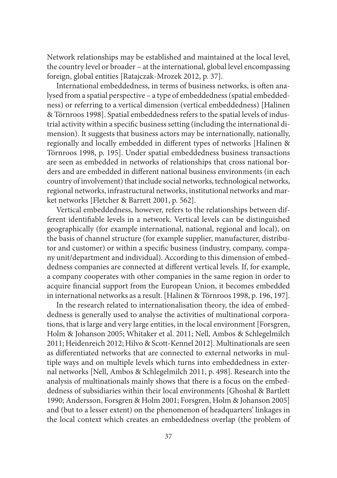Network relationships may be established and maintained at the local level, the country level or broader – at the international, global level encompassing foreign, global entities [Ratajczak-Mrozek 2012, p. 37].

International embeddedness, in terms of business networks, is often analysed from a spatial perspective – a type of embeddedness (spatial embeddedness) or referring to a vertical dimension (vertical embeddedness) [Halinen & Törnroos 1998]. Spatial embeddedness refers to the spatial levels of industrial activity within a specific business setting (including the international dimension). It suggests that business actors may be internationally, nationally, regionally and locally embedded in different types of networks [Halinen & Törnroos 1998, p. 195]. Under spatial embeddedness business transactions are seen as embedded in networks of relationships that cross national borders and are embedded in different national business environments (in each country of involvement) that include social networks, technological networks, regional networks, infrastructural networks, institutional networks and market networks [Fletcher & Barrett 2001, p. 562].

Vertical embeddedness, however, refers to the relationships between different identifiable levels in a network. Vertical levels can be distinguished geographically (for example international, national, regional and local), on the basis of channel structure (for example supplier, manufacturer, distributor and customer) or within a specific business (industry, company, company unit/department and individual). According to this dimension of embeddedness companies are connected at different vertical levels. If, for example, a company cooperates with other companies in the same region in order to acquire financial support from the European Union, it becomes embedded in international networks as a result. [Halinen & Törnroos 1998, p. 196, 197].

In the research related to internationalisation theory, the idea of embeddedness is generally used to analyse the activities of multinational corporations, that is large and very large entities, in the local environment [Forsgren, Holm & Johanson 2005; Whitaker et al. 2011; Nell, Ambos & Schlegelmilch 2011; Heidenreich 2012; Hilvo & Scott-Kennel 2012]. Multinationals are seen as differentiated networks that are connected to external networks in multiple ways and on multiple levels which turns into embeddedness in external networks [Nell, Ambos & Schlegelmilch 2011, p. 498]. Research into the analysis of multinationals mainly shows that there is a focus on the embeddedness of subsidiaries within their local environments [Ghoshal & Bartlett 1990; Andersson, Forsgren & Holm 2001; Forsgren, Holm & Johanson 2005] and (but to a lesser extent) on the phenomenon of headquarters' linkages in the local context which creates an embeddedness overlap (the problem of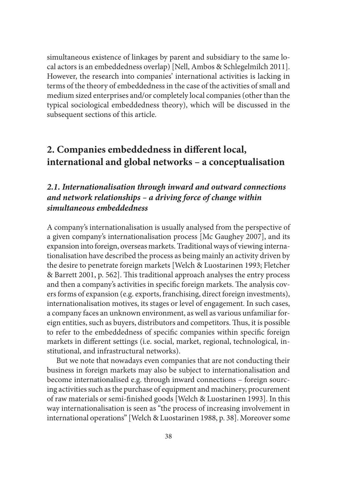simultaneous existence of linkages by parent and subsidiary to the same local actors is an embeddedness overlap) [Nell, Ambos & Schlegelmilch 2011]. However, the research into companies' international activities is lacking in terms of the theory of embeddedness in the case of the activities of small and medium sized enterprises and/or completely local companies (other than the typical sociological embeddedness theory), which will be discussed in the subsequent sections of this article.

# 2. Companies embeddedness in different local, **international and global networks – a conceptualisation**

### *2.1. Internationalisation through inward and outward connections and network relationships – a driving force of change within simultaneous embeddedness*

A company's internationalisation is usually analysed from the perspective of a given company's internationalisation process [Mc Gaughey 2007], and its expansion into foreign, overseas markets. Traditional ways of viewing internationalisation have described the process as being mainly an activity driven by the desire to penetrate foreign markets [Welch & Luostarinen 1993; Fletcher & Barrett 2001, p. 562]. This traditional approach analyses the entry process and then a company's activities in specific foreign markets. The analysis covers forms of expansion (e.g. exports, franchising, direct foreign investments), internationalisation motives, its stages or level of engagement. In such cases, a company faces an unknown environment, as well as various unfamiliar foreign entities, such as buyers, distributors and competitors. Thus, it is possible to refer to the embeddedness of specific companies within specific foreign markets in different settings (i.e. social, market, regional, technological, institutional, and infrastructural networks).

But we note that nowadays even companies that are not conducting their business in foreign markets may also be subject to internationalisation and become internationalised e.g. through inward connections – foreign sourcing activities such as the purchase of equipment and machinery, procurement of raw materials or semi-finished goods [Welch & Luostarinen 1993]. In this way internationalisation is seen as "the process of increasing involvement in international operations" [Welch & Luostarinen 1988, p. 38]. Moreover some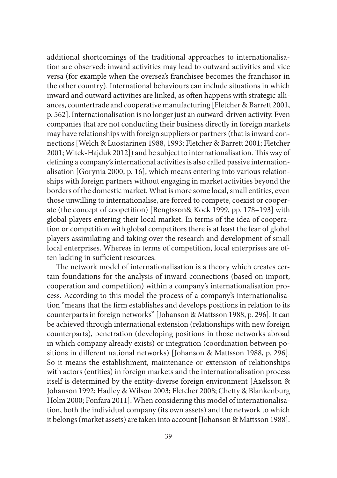additional shortcomings of the traditional approaches to internationalisation are observed: inward activities may lead to outward activities and vice versa (for example when the oversea's franchisee becomes the franchisor in the other country). International behaviours can include situations in which inward and outward activities are linked, as often happens with strategic alliances, countertrade and cooperative manufacturing [Fletcher & Barrett 2001, p. 562]. Internationalisation is no longer just an outward-driven activity. Even companies that are not conducting their business directly in foreign markets may have relationships with foreign suppliers or partners (that is inward connections [Welch & Luostarinen 1988, 1993; Fletcher & Barrett 2001; Fletcher 2001; Witek-Hajduk 2012]) and be subject to internationalisation. This way of defining a company's international activities is also called passive internationalisation [Gorynia 2000, p. 16], which means entering into various relationships with foreign partners without engaging in market activities beyond the borders of the domestic market. What is more some local, small entities, even those unwilling to internationalise, are forced to compete, coexist or cooperate (the concept of coopetition) [Bengtsson& Kock 1999, pp. 178–193] with global players entering their local market. In terms of the idea of cooperation or competition with global competitors there is at least the fear of global players assimilating and taking over the research and development of small local enterprises. Whereas in terms of competition, local enterprises are often lacking in sufficient resources.

The network model of internationalisation is a theory which creates certain foundations for the analysis of inward connections (based on import, cooperation and competition) within a company's internationalisation process. According to this model the process of a company's internationalisation "means that the firm establishes and develops positions in relation to its counterparts in foreign networks" [Johanson & Mattsson 1988, p. 296]. It can be achieved through international extension (relationships with new foreign counterparts), penetration (developing positions in those networks abroad in which company already exists) or integration (coordination between positions in different national networks) [Johanson & Mattsson 1988, p. 296]. So it means the establishment, maintenance or extension of relationships with actors (entities) in foreign markets and the internationalisation process itself is determined by the entity-diverse foreign environment [Axelsson & Johanson 1992; Hadley & Wilson 2003; Fletcher 2008; Chetty & Blankenburg Holm 2000; Fonfara 2011]. When considering this model of internationalisation, both the individual company (its own assets) and the network to which it belongs (market assets) are taken into account [Johanson & Mattsson 1988].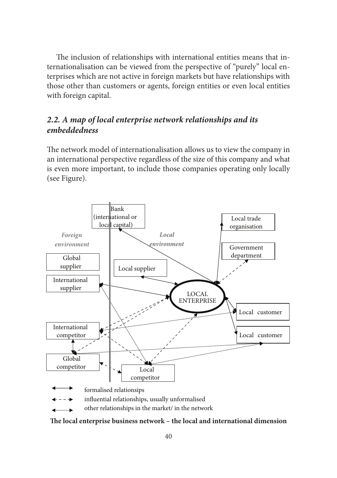The inclusion of relationships with international entities means that internationalisation can be viewed from the perspective of "purely" local enterprises which are not active in foreign markets but have relationships with those other than customers or agents, foreign entities or even local entities with foreign capital.

### *2.2. A map of local enterprise network relationships and its embeddedness*

The network model of internationalisation allows us to view the company in an international perspective regardless of the size of this company and what is even more important, to include those companies operating only locally (see Figure).



other relationships in the market/ in the network

The local enterprise business network – the local and international dimension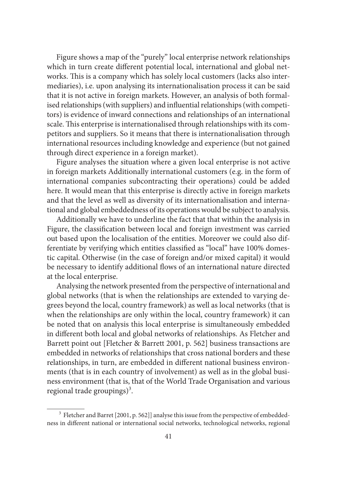Figure shows a map of the "purely" local enterprise network relationships which in turn create different potential local, international and global networks. This is a company which has solely local customers (lacks also intermediaries), i.e. upon analysing its internationalisation process it can be said that it is not active in foreign markets. However, an analysis of both formalised relationships (with suppliers) and influential relationships (with competitors) is evidence of inward connections and relationships of an international scale. This enterprise is internationalised through relationships with its competitors and suppliers. So it means that there is internationalisation through international resources including knowledge and experience (but not gained through direct experience in a foreign market).

Figure analyses the situation where a given local enterprise is not active in foreign markets Additionally international customers (e.g. in the form of international companies subcontracting their operations) could be added here. It would mean that this enterprise is directly active in foreign markets and that the level as well as diversity of its internationalisation and international and global embeddedness of its operations would be subject to analysis.

Additionally we have to underline the fact that that within the analysis in Figure, the classification between local and foreign investment was carried out based upon the localisation of the entities. Moreover we could also differentiate by verifying which entities classified as "local" have 100% domestic capital. Otherwise (in the case of foreign and/or mixed capital) it would be necessary to identify additional flows of an international nature directed at the local enterprise.

Analysing the network presented from the perspective of international and global networks (that is when the relationships are extended to varying degrees beyond the local, country framework) as well as local networks (that is when the relationships are only within the local, country framework) it can be noted that on analysis this local enterprise is simultaneously embedded in different both local and global networks of relationships. As Fletcher and Barrett point out [Fletcher & Barrett 2001, p. 562] business transactions are embedded in networks of relationships that cross national borders and these relationships, in turn, are embedded in different national business environments (that is in each country of involvement) as well as in the global business environment (that is, that of the World Trade Organisation and various regional trade groupings)<sup>3</sup>.

<sup>&</sup>lt;sup>3</sup> Fletcher and Barret [2001, p. 562]] analyse this issue from the perspective of embeddedness in different national or international social networks, technological networks, regional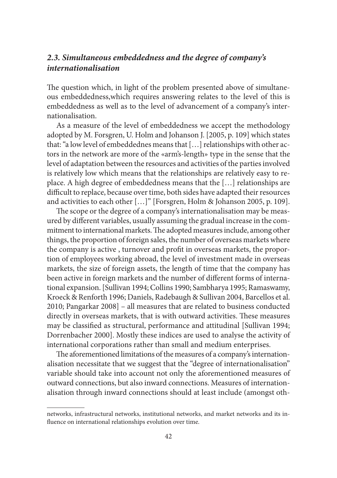### *2.3. Simultaneous embeddedness and the degree of company's internationalisation*

The question which, in light of the problem presented above of simultaneous embeddedness,which requires answering relates to the level of this is embeddedness as well as to the level of advancement of a company's internationalisation.

As a measure of the level of embeddedness we accept the methodology adopted by M. Forsgren, U. Holm and Johanson J. [2005, p. 109] which states that: "a low level of embeddednes means that […] relationships with other actors in the network are more of the «arm's-length» type in the sense that the level of adaptation between the resources and activities of the parties involved is relatively low which means that the relationships are relatively easy to replace. A high degree of embeddedness means that the […] relationships are difficult to replace, because over time, both sides have adapted their resources and activities to each other […]" [Forsgren, Holm & Johanson 2005, p. 109].

The scope or the degree of a company's internationalisation may be measured by different variables, usually assuming the gradual increase in the commitment to international markets. The adopted measures include, among other things, the proportion of foreign sales, the number of overseas markets where the company is active, turnover and profit in overseas markets, the proportion of employees working abroad, the level of investment made in overseas markets, the size of foreign assets, the length of time that the company has been active in foreign markets and the number of different forms of international expansion. [Sullivan 1994; Collins 1990; Sambharya 1995; Ramaswamy, Kroeck & Renforth 1996; Daniels, Radebaugh & Sullivan 2004, Barcellos et al. 2010; Pangarkar 2008] – all measures that are related to business conducted directly in overseas markets, that is with outward activities. These measures may be classified as structural, performance and attitudinal [Sullivan 1994; Dorrenbacher 2000]. Mostly these indices are used to analyse the activity of international corporations rather than small and medium enterprises.

The aforementioned limitations of the measures of a company's internationalisation necessitate that we suggest that the "degree of internationalisation" variable should take into account not only the aforementioned measures of outward connections, but also inward connections. Measures of internationalisation through inward connections should at least include (amongst oth-

networks, infrastructural networks, institutional networks, and market networks and its influence on international relationships evolution over time.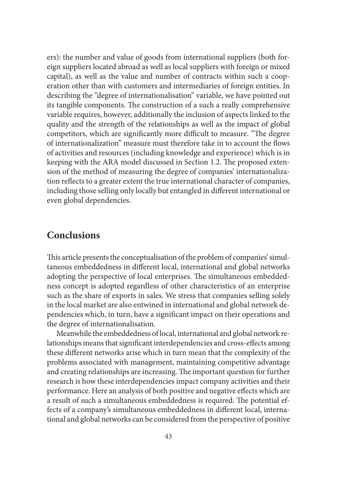ers): the number and value of goods from international suppliers (both foreign suppliers located abroad as well as local suppliers with foreign or mixed capital), as well as the value and number of contracts within such a cooperation other than with customers and intermediaries of foreign entities. In describing the "degree of internationalisation" variable, we have pointed out its tangible components. The construction of a such a really comprehensive variable requires, however, additionally the inclusion of aspects linked to the quality and the strength of the relationships as well as the impact of global competitors, which are significantly more difficult to measure. "The degree of internationalization" measure must therefore take in to account the flows of activities and resources (including knowledge and experience) which is in keeping with the ARA model discussed in Section 1.2. The proposed extension of the method of measuring the degree of companies' internationalization reflects to a greater extent the true international character of companies, including those selling only locally but entangled in different international or even global dependencies.

### **Conclusions**

This article presents the conceptualisation of the problem of companies' simultaneous embeddedness in different local, international and global networks adopting the perspective of local enterprises. The simultaneous embeddedness concept is adopted regardless of other characteristics of an enterprise such as the share of exports in sales. We stress that companies selling solely in the local market are also entwined in international and global network dependencies which, in turn, have a significant impact on their operations and the degree of internationalisation.

Meanwhile the embeddedness of local, international and global network relationships means that significant interdependencies and cross-effects among these different networks arise which in turn mean that the complexity of the problems associated with management, maintaining competitive advantage and creating relationships are increasing. The important question for further research is how these interdependencies impact company activities and their performance. Here an analysis of both positive and negative effects which are a result of such a simultaneous embeddedness is required. The potential effects of a company's simultaneous embeddedness in different local, international and global networks can be considered from the perspective of positive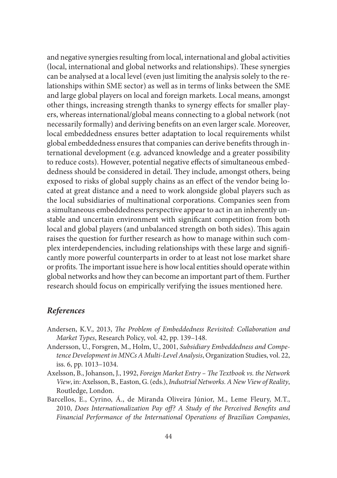and negative synergies resulting from local, international and global activities (local, international and global networks and relationships). These synergies can be analysed at a local level (even just limiting the analysis solely to the relationships within SME sector) as well as in terms of links between the SME and large global players on local and foreign markets. Local means, amongst other things, increasing strength thanks to synergy effects for smaller players, whereas international/global means connecting to a global network (not necessarily formally) and deriving benefits on an even larger scale. Moreover, local embeddedness ensures better adaptation to local requirements whilst global embeddedness ensures that companies can derive benefits through international development (e.g. advanced knowledge and a greater possibility to reduce costs). However, potential negative effects of simultaneous embeddedness should be considered in detail. They include, amongst others, being exposed to risks of global supply chains as an effect of the vendor being located at great distance and a need to work alongside global players such as the local subsidiaries of multinational corporations. Companies seen from a simultaneous embeddedness perspective appear to act in an inherently unstable and uncertain environment with significant competition from both local and global players (and unbalanced strength on both sides). This again raises the question for further research as how to manage within such complex interdependencies, including relationships with these large and significantly more powerful counterparts in order to at least not lose market share or profits. The important issue here is how local entities should operate within global networks and how they can become an important part of them. Further research should focus on empirically verifying the issues mentioned here.

### *References*

- Andersen, K.V., 2013, *The Problem of Embeddedness Revisited: Collaboration and Market Types*, Research Policy, vol. 42, pp. 139–148.
- Andersson, U., Forsgren, M., Holm, U., 2001, *Subsidiary Embeddedness and Competence Development in MNCs A Multi-Level Analysis*, Organization Studies, vol. 22, iss. 6, pp. 1013–1034.
- Axelsson, B., Johanson, J., 1992, *Foreign Market Entry The Textbook vs. the Network View*, in: Axelsson, B., Easton, G. (eds.), *Industrial Networks. A New View of Reality*, Routledge, London.
- Barcellos, E., Cyrino, Á., de Miranda Oliveira Júnior, M., Leme Fleury, M.T., 2010, *Does Internationalization Pay off? A Study of the Perceived Benefits and Financial Performance of the International Operations of Brazilian Companies*,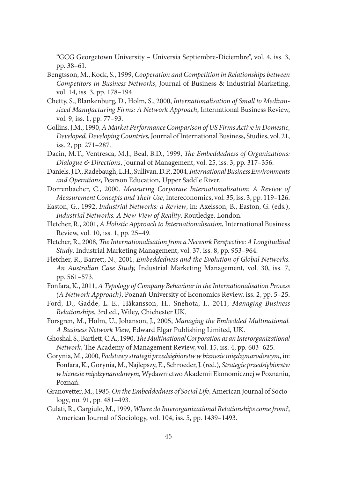"GCG Georgetown University – Universia Septiembre-Diciembre", vol. 4, iss. 3, pp. 38–61.

- Bengtsson, M., Kock, S., 1999, *Cooperation and Competition in Relationships between Competitors in Business Networks*, Journal of Business & Industrial Marketing, vol. 14, iss. 3, pp. 178–194.
- Chetty, S., Blankenburg, D., Holm, S., 2000, *Internationalisation of Small to Mediumsized Manufacturing Firms: A Network Approach*, International Business Review, vol. 9, iss. 1, pp. 77–93.
- Collins, J.M., 1990, *A Market Performance Comparison of US Firms Active in Domestic, Developed, Developing Countries*, Journal of International Business, Studies, vol. 21, iss. 2, pp. 271–287.
- Dacin, M.T., Ventresca, M.J., Beal, B.D., 1999, *The Embeddedness of Organizations: Dialogue & Directions*, Journal of Management, vol. 25, iss. 3, pp. 317–356.
- Daniels, J.D., Radebaugh, L.H., Sullivan, D.P., 2004, *International Business Environments and Operations*, Pearson Education, Upper Saddle River.
- Dorrenbacher, C., 2000. *Measuring Corporate Internationalisation: A Review of Measurement Concepts and Their Use*, Intereconomics, vol. 35, iss. 3, pp. 119–126.
- Easton, G., 1992, *Industrial Networks: a Review*, in: Axelsson, B., Easton, G. (eds.), *Industrial Networks. A New View of Reality*, Routledge, London.
- Fletcher, R., 2001, *A Holistic Approach to Internationalisation*, International Business Review, vol. 10, iss. 1, pp. 25–49.
- Fletcher, R., 2008, *The Internationalisation from a Network Perspective: A Longitudinal Study*, Industrial Marketing Management, vol. 37, iss. 8, pp. 953–964.
- Fletcher, R., Barrett, N., 2001, *Embeddedness and the Evolution of Global Networks. An Australian Case Study,* Industrial Marketing Management, vol. 30, iss. 7, pp. 561–573.
- Fonfara, K., 2011, *A Typology of Company Behaviour in the Internationalisation Process (A Network Approach)*, Poznań University of Economics Review, iss. 2, pp. 5–25.
- Ford, D., Gadde, L.-E., Håkansson, H., Snehota, I., 2011, *Managing Business Relationships*, 3rd ed., Wiley, Chichester UK.
- Forsgren, M., Holm, U., Johanson, J., 2005, *Managing the Embedded Multinational. A Business Network View*, Edward Elgar Publishing Limited, UK.
- Ghoshal, S., Bartlett, C.A., 1990, *The Multinational Corporation as an Interorganizational Network*, The Academy of Management Review, vol. 15, iss. 4, pp. 603–625.
- Gorynia, M., 2000, *Podstawy strategii przedsiębiorstw w biznesie międzynarodowym*, in: Fonfara, K., Gorynia, M., Najlepszy, E., Schroeder, J. (red.), *Strategie przedsiębiorstw w biznesie międzynarodowym*, Wydawnictwo Akademii Ekonomicznej w Poznaniu, Poznań.
- Granovetter, M., 1985, *On the Embeddedness of Social Life*, American Journal of Sociology, no. 91, pp. 481–493.
- Gulati, R., Gargiulo, M., 1999, *Where do Interorganizational Relationships come from?*, American Journal of Sociology, vol. 104, iss. 5, pp. 1439–1493.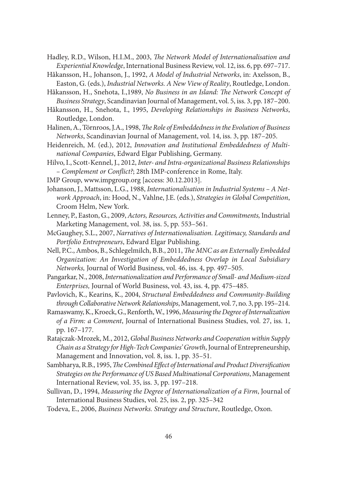- Hadley, R.D., Wilson, H.I.M., 2003, *The Network Model of Internationalisation and Experiential Knowledge*, International Business Review, vol. 12, iss. 6, pp. 697–717.
- Håkansson, H., Johanson, J., 1992, *A Model of Industrial Networks*, in: Axelsson, B., Easton, G. (eds.), *Industrial Networks. A New View of Reality*, Routledge, London.
- Håkansson, H., Snehota, I., 1989, *No Business in an Island: The Network Concept of Business Strategy*, Scandinavian Journal of Management, vol. 5, iss. 3, pp. 187–200.
- Håkansson, H., Snehota, I., 1995, *Developing Relationships in Business Networks*, Routledge, London.
- Halinen, A., Törnroos, J.A., 1998, *The Role of Embeddedness in the Evolution of Business Networks*, Scandinavian Journal of Management, vol. 14, iss. 3, pp. 187–205.
- Heidenreich, M. (ed.), 2012, *Innovation and Institutional Embeddedness of Multinational Companies*, Edward Elgar Publishing, Germany.
- Hilvo, I., Scott-Kennel, J., 2012, *Inter- and Intra-organizational Business Relationships – Complement or Confl ict?*; 28th IMP-conference in Rome, Italy.
- IMP Group, www.impgroup.org [access: 30.12.2013].
- Johanson, J., Mattsson, L.G., 1988, *Internationalisation in Industrial Systems A Network Approach*, in: Hood, N., Vahlne, J.E. (eds.), *Strategies in Global Competition*, Croom Helm, New York.
- Lenney, P., Easton, G., 2009, *Actors, Resources, Activities and Commitments,* Industrial Marketing Management, vol. 38, iss. 5, pp. 553–561.
- McGaughey, S.L., 2007, *Narratives of Internationalisation. Legitimacy, Standards and Portfolio Entrepreneurs*, Edward Elgar Publishing.
- Nell, P.C., Ambos, B., Schlegelmilch, B.B., 2011, *The MNC as an Externally Embedded Organization: An Investigation of Embeddedness Overlap in Local Subsidiary Networks,* Journal of World Business, vol. 46, iss. 4, pp. 497–505.
- Pangarkar, N., 2008, *Internationalization and Performance of Small- and Medium-sized Enterprises,* Journal of World Business, vol. 43, iss. 4, pp. 475–485.
- Pavlovich, K., Kearins, K., 2004, *Structural Embeddedness and Community-Building through Collaborative Network Relationships*, Management, vol. 7, no. 3, pp. 195–214.
- Ramaswamy, K., Kroeck, G., Renforth, W., 1996, *Measuring the Degree of Internalization of a Firm: a Comment*, Journal of International Business Studies, vol. 27, iss. 1, pp. 167–177.
- Ratajczak-Mrozek, M., 2012, *Global Business Networks and Cooperation within Supply Chain as a Strategy for High-Tech Companies' Growth*, Journal of Entrepreneurship, Management and Innovation, vol. 8, iss. 1, pp. 35–51.
- Sambharya, R.B., 1995, *The Combined Effect of International and Product Diversification Strategies on the Performance of US Based Multinational Corporations*, Management International Review, vol. 35, iss. 3, pp. 197–218.
- Sullivan, D., 1994, *Measuring the Degree of Internationalization of a Firm*, Journal of International Business Studies, vol. 25, iss. 2, pp. 325–342
- Todeva, E., 2006, *Business Networks. Strategy and Structure*, Routledge, Oxon.